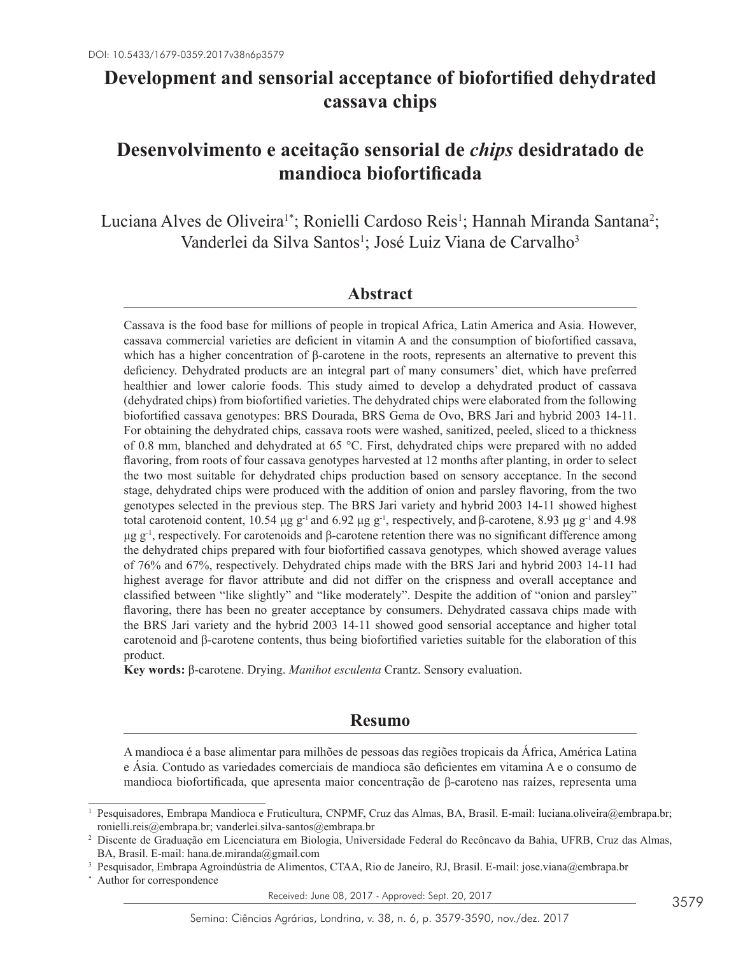# **Development and sensorial acceptance of biofortified dehydrated cassava chips**

# **Desenvolvimento e aceitação sensorial de** *chips* **desidratado de mandioca biofortificada**

Luciana Alves de Oliveira<sup>1\*</sup>; Ronielli Cardoso Reis<sup>1</sup>; Hannah Miranda Santana<sup>2</sup>; Vanderlei da Silva Santos<sup>1</sup>; José Luiz Viana de Carvalho<sup>3</sup>

### **Abstract**

Cassava is the food base for millions of people in tropical Africa, Latin America and Asia. However, cassava commercial varieties are deficient in vitamin A and the consumption of biofortified cassava, which has a higher concentration of β-carotene in the roots, represents an alternative to prevent this deficiency. Dehydrated products are an integral part of many consumers' diet, which have preferred healthier and lower calorie foods. This study aimed to develop a dehydrated product of cassava (dehydrated chips) from biofortified varieties. The dehydrated chips were elaborated from the following biofortified cassava genotypes: BRS Dourada, BRS Gema de Ovo, BRS Jari and hybrid 2003 14-11. For obtaining the dehydrated chips*,* cassava roots were washed, sanitized, peeled, sliced to a thickness of 0.8 mm, blanched and dehydrated at 65 °C. First, dehydrated chips were prepared with no added flavoring, from roots of four cassava genotypes harvested at 12 months after planting, in order to select the two most suitable for dehydrated chips production based on sensory acceptance. In the second stage, dehydrated chips were produced with the addition of onion and parsley flavoring, from the two genotypes selected in the previous step. The BRS Jari variety and hybrid 2003 14-11 showed highest total carotenoid content, 10.54 μg g<sup>-1</sup> and 6.92 μg g<sup>-1</sup>, respectively, and β-carotene, 8.93 μg g<sup>-1</sup> and 4.98 μg g<sup>-1</sup>, respectively. For carotenoids and β-carotene retention there was no significant difference among the dehydrated chips prepared with four biofortified cassava genotypes*,* which showed average values of 76% and 67%, respectively. Dehydrated chips made with the BRS Jari and hybrid 2003 14-11 had highest average for flavor attribute and did not differ on the crispness and overall acceptance and classified between "like slightly" and "like moderately". Despite the addition of "onion and parsley" flavoring, there has been no greater acceptance by consumers. Dehydrated cassava chips made with the BRS Jari variety and the hybrid 2003 14-11 showed good sensorial acceptance and higher total carotenoid and β-carotene contents, thus being biofortified varieties suitable for the elaboration of this product.

**Key words:** β-carotene. Drying. *Manihot esculenta* Crantz. Sensory evaluation.

# **Resumo**

A mandioca é a base alimentar para milhões de pessoas das regiões tropicais da África, América Latina e Ásia. Contudo as variedades comerciais de mandioca são deficientes em vitamina A e o consumo de mandioca biofortificada, que apresenta maior concentração de β-caroteno nas raízes, representa uma

<sup>1</sup> Pesquisadores, Embrapa Mandioca e Fruticultura, CNPMF, Cruz das Almas, BA, Brasil. E-mail: luciana.oliveira@embrapa.br; ronielli.reis@embrapa.br; vanderlei.silva-santos@embrapa.br

<sup>2</sup> Discente de Graduação em Licenciatura em Biologia, Universidade Federal do Recôncavo da Bahia, UFRB, Cruz das Almas, BA, Brasil. E-mail: hana.de.miranda@gmail.com

<sup>3</sup> Pesquisador, Embrapa Agroindústria de Alimentos, CTAA, Rio de Janeiro, RJ, Brasil. E-mail: jose.viana@embrapa.br

<sup>\*</sup> Author for correspondence

Received: June 08, 2017 - Approved: Sept. 20, 2017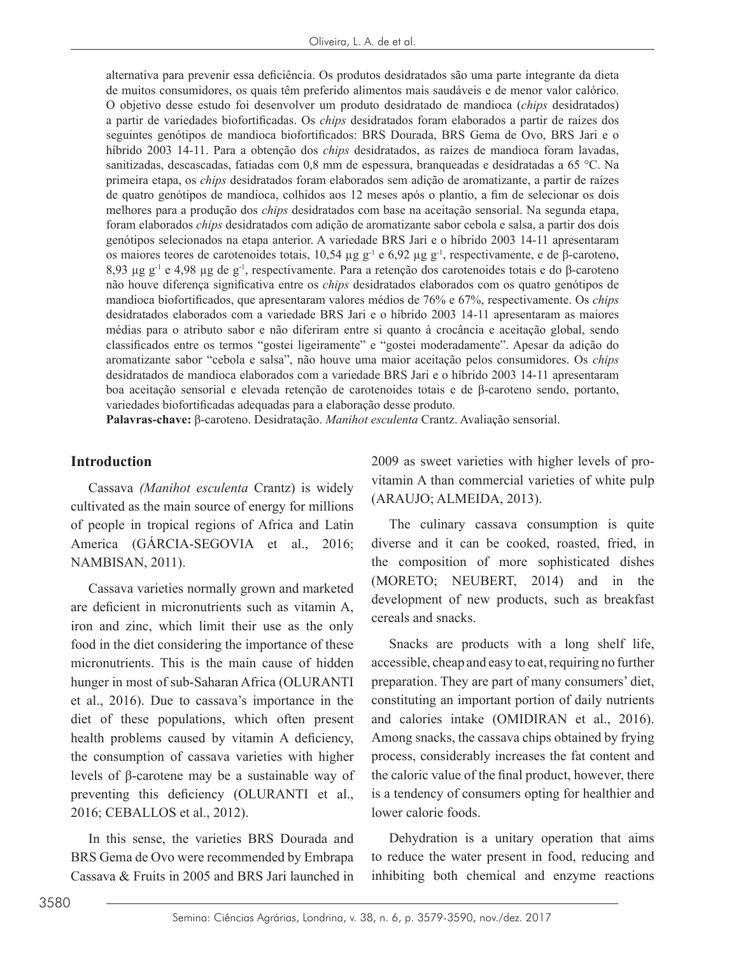alternativa para prevenir essa deficiência. Os produtos desidratados são uma parte integrante da dieta de muitos consumidores, os quais têm preferido alimentos mais saudáveis e de menor valor calórico. O objetivo desse estudo foi desenvolver um produto desidratado de mandioca (*chips* desidratados) a partir de variedades biofortificadas. Os *chips* desidratados foram elaborados a partir de raízes dos seguintes genótipos de mandioca biofortificados: BRS Dourada, BRS Gema de Ovo, BRS Jari e o híbrido 2003 14-11. Para a obtenção dos *chips* desidratados, as raízes de mandioca foram lavadas, sanitizadas, descascadas, fatiadas com 0,8 mm de espessura, branqueadas e desidratadas a 65 °C. Na primeira etapa, os *chips* desidratados foram elaborados sem adição de aromatizante, a partir de raízes de quatro genótipos de mandioca, colhidos aos 12 meses após o plantio, a fim de selecionar os dois melhores para a produção dos *chips* desidratados com base na aceitação sensorial. Na segunda etapa, foram elaborados *chips* desidratados com adição de aromatizante sabor cebola e salsa, a partir dos dois genótipos selecionados na etapa anterior. A variedade BRS Jari e o híbrido 2003 14-11 apresentaram os maiores teores de carotenoides totais, 10,54 µg g-1 e 6,92 µg g-1, respectivamente, e de β-caroteno, 8,93 µg g-1 e 4,98 µg de g-1, respectivamente. Para a retenção dos carotenoides totais e do β-caroteno não houve diferença significativa entre os *chips* desidratados elaborados com os quatro genótipos de mandioca biofortificados, que apresentaram valores médios de 76% e 67%, respectivamente. Os *chips* desidratados elaborados com a variedade BRS Jari e o híbrido 2003 14-11 apresentaram as maiores médias para o atributo sabor e não diferiram entre si quanto à crocância e aceitação global, sendo classificados entre os termos "gostei ligeiramente" e "gostei moderadamente". Apesar da adição do aromatizante sabor "cebola e salsa", não houve uma maior aceitação pelos consumidores. Os *chips* desidratados de mandioca elaborados com a variedade BRS Jari e o híbrido 2003 14-11 apresentaram boa aceitação sensorial e elevada retenção de carotenoides totais e de β-caroteno sendo, portanto, variedades biofortificadas adequadas para a elaboração desse produto.

**Palavras-chave:** β-caroteno. Desidratação. *Manihot esculenta* Crantz. Avaliação sensorial.

### **Introduction**

Cassava *(Manihot esculenta* Crantz) is widely cultivated as the main source of energy for millions of people in tropical regions of Africa and Latin America (GÁRCIA-SEGOVIA et al., 2016; NAMBISAN, 2011).

Cassava varieties normally grown and marketed are deficient in micronutrients such as vitamin A, iron and zinc, which limit their use as the only food in the diet considering the importance of these micronutrients. This is the main cause of hidden hunger in most of sub-Saharan Africa (OLURANTI et al., 2016). Due to cassava's importance in the diet of these populations, which often present health problems caused by vitamin A deficiency, the consumption of cassava varieties with higher levels of β-carotene may be a sustainable way of preventing this deficiency (OLURANTI et al., 2016; CEBALLOS et al., 2012).

In this sense, the varieties BRS Dourada and BRS Gema de Ovo were recommended by Embrapa Cassava & Fruits in 2005 and BRS Jari launched in

2009 as sweet varieties with higher levels of provitamin A than commercial varieties of white pulp (ARAUJO; ALMEIDA, 2013).

The culinary cassava consumption is quite diverse and it can be cooked, roasted, fried, in the composition of more sophisticated dishes (MORETO; NEUBERT, 2014) and in the development of new products, such as breakfast cereals and snacks.

Snacks are products with a long shelf life, accessible, cheap and easy to eat, requiring no further preparation. They are part of many consumers' diet, constituting an important portion of daily nutrients and calories intake (OMIDIRAN et al., 2016). Among snacks, the cassava chips obtained by frying process, considerably increases the fat content and the caloric value of the final product, however, there is a tendency of consumers opting for healthier and lower calorie foods.

Dehydration is a unitary operation that aims to reduce the water present in food, reducing and inhibiting both chemical and enzyme reactions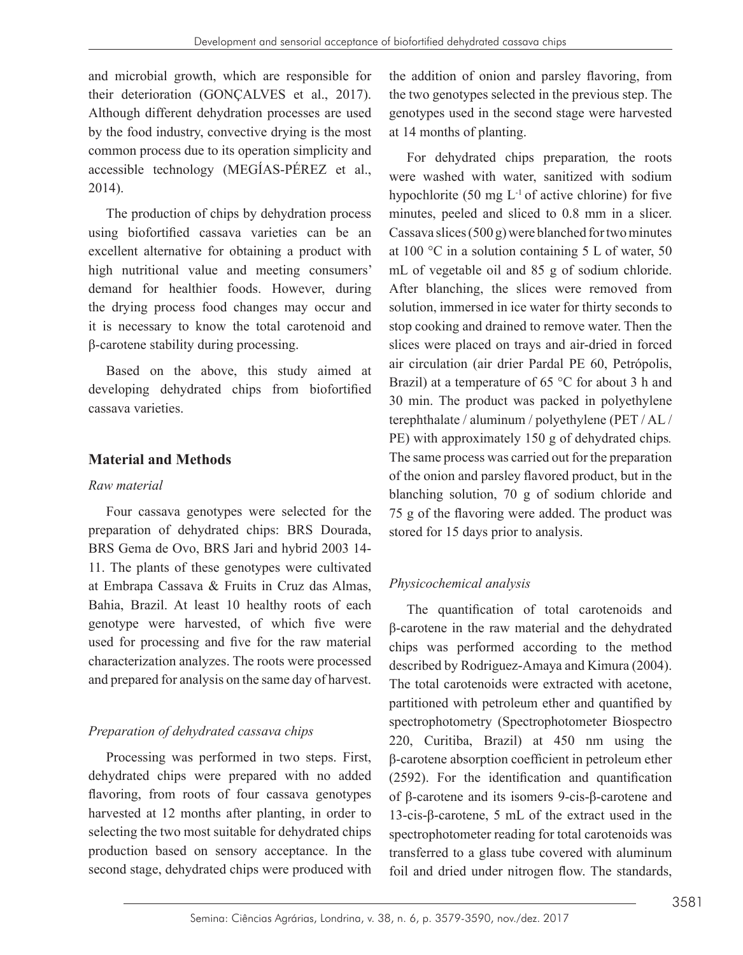and microbial growth, which are responsible for their deterioration (GONÇALVES et al., 2017). Although different dehydration processes are used by the food industry, convective drying is the most common process due to its operation simplicity and accessible technology (MEGÍAS-PÉREZ et al., 2014).

The production of chips by dehydration process using biofortified cassava varieties can be an excellent alternative for obtaining a product with high nutritional value and meeting consumers' demand for healthier foods. However, during the drying process food changes may occur and it is necessary to know the total carotenoid and β-carotene stability during processing.

Based on the above, this study aimed at developing dehydrated chips from biofortified cassava varieties.

# **Material and Methods**

### *Raw material*

Four cassava genotypes were selected for the preparation of dehydrated chips: BRS Dourada, BRS Gema de Ovo, BRS Jari and hybrid 2003 14- 11. The plants of these genotypes were cultivated at Embrapa Cassava & Fruits in Cruz das Almas, Bahia, Brazil. At least 10 healthy roots of each genotype were harvested, of which five were used for processing and five for the raw material characterization analyzes. The roots were processed and prepared for analysis on the same day of harvest.

# *Preparation of dehydrated cassava chips*

Processing was performed in two steps. First, dehydrated chips were prepared with no added flavoring, from roots of four cassava genotypes harvested at 12 months after planting, in order to selecting the two most suitable for dehydrated chips production based on sensory acceptance. In the second stage, dehydrated chips were produced with

the addition of onion and parsley flavoring, from the two genotypes selected in the previous step. The genotypes used in the second stage were harvested at 14 months of planting.

For dehydrated chips preparation*,* the roots were washed with water, sanitized with sodium hypochlorite (50 mg  $L^{-1}$  of active chlorine) for five minutes, peeled and sliced to 0.8 mm in a slicer. Cassava slices (500 g) were blanched for two minutes at 100 °C in a solution containing 5 L of water, 50 mL of vegetable oil and 85 g of sodium chloride. After blanching, the slices were removed from solution, immersed in ice water for thirty seconds to stop cooking and drained to remove water. Then the slices were placed on trays and air-dried in forced air circulation (air drier Pardal PE 60, Petrópolis, Brazil) at a temperature of 65 °C for about 3 h and 30 min. The product was packed in polyethylene terephthalate / aluminum / polyethylene (PET / AL / PE) with approximately 150 g of dehydrated chips*.* The same process was carried out for the preparation of the onion and parsley flavored product, but in the blanching solution, 70 g of sodium chloride and 75 g of the flavoring were added. The product was stored for 15 days prior to analysis.

# *Physicochemical analysis*

The quantification of total carotenoids and β-carotene in the raw material and the dehydrated chips was performed according to the method described by Rodriguez-Amaya and Kimura (2004). The total carotenoids were extracted with acetone, partitioned with petroleum ether and quantified by spectrophotometry (Spectrophotometer Biospectro 220, Curitiba, Brazil) at 450 nm using the β-carotene absorption coefficient in petroleum ether (2592). For the identification and quantification of β-carotene and its isomers 9-cis-β-carotene and 13-cis-β-carotene, 5 mL of the extract used in the spectrophotometer reading for total carotenoids was transferred to a glass tube covered with aluminum foil and dried under nitrogen flow. The standards,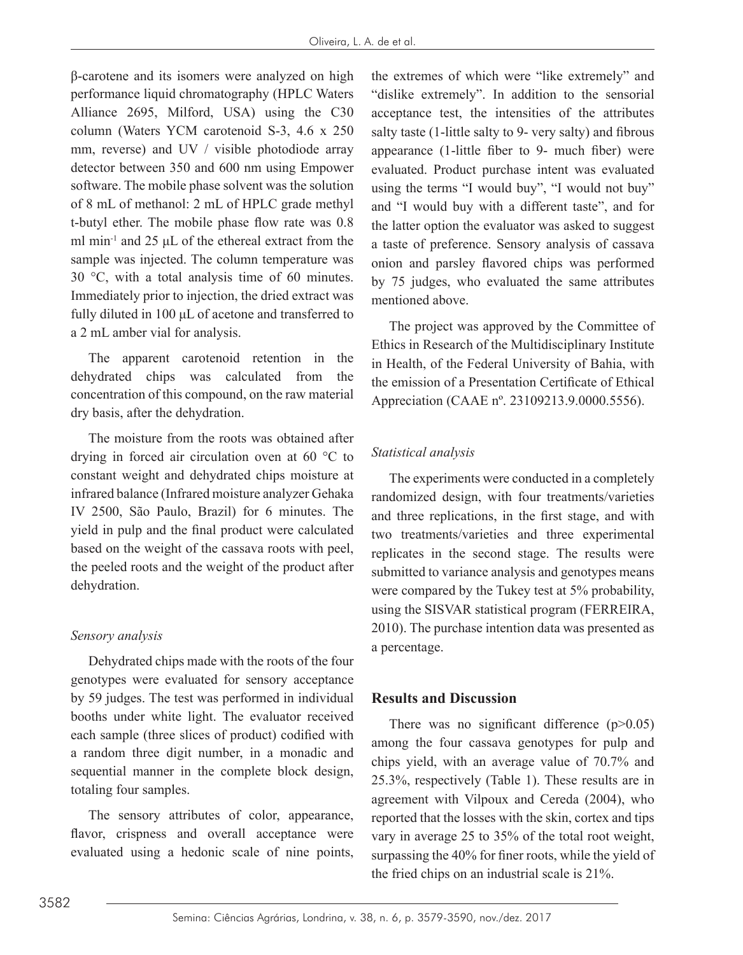β-carotene and its isomers were analyzed on high performance liquid chromatography (HPLC Waters Alliance 2695, Milford, USA) using the C30 column (Waters YCM carotenoid S-3, 4.6 x 250 mm, reverse) and UV / visible photodiode array detector between 350 and 600 nm using Empower software. The mobile phase solvent was the solution of 8 mL of methanol: 2 mL of HPLC grade methyl t-butyl ether. The mobile phase flow rate was 0.8 ml min<sup>-1</sup> and 25 μL of the ethereal extract from the sample was injected. The column temperature was 30 °C, with a total analysis time of 60 minutes. Immediately prior to injection, the dried extract was fully diluted in 100 μL of acetone and transferred to a 2 mL amber vial for analysis.

The apparent carotenoid retention in the dehydrated chips was calculated from the concentration of this compound, on the raw material dry basis, after the dehydration.

The moisture from the roots was obtained after drying in forced air circulation oven at 60 °C to constant weight and dehydrated chips moisture at infrared balance (Infrared moisture analyzer Gehaka IV 2500, São Paulo, Brazil) for 6 minutes. The yield in pulp and the final product were calculated based on the weight of the cassava roots with peel, the peeled roots and the weight of the product after dehydration.

### *Sensory analysis*

Dehydrated chips made with the roots of the four genotypes were evaluated for sensory acceptance by 59 judges. The test was performed in individual booths under white light. The evaluator received each sample (three slices of product) codified with a random three digit number, in a monadic and sequential manner in the complete block design, totaling four samples.

The sensory attributes of color, appearance, flavor, crispness and overall acceptance were evaluated using a hedonic scale of nine points, the extremes of which were "like extremely" and "dislike extremely". In addition to the sensorial acceptance test, the intensities of the attributes salty taste (1-little salty to 9- very salty) and fibrous appearance (1-little fiber to 9- much fiber) were evaluated. Product purchase intent was evaluated using the terms "I would buy", "I would not buy" and "I would buy with a different taste", and for the latter option the evaluator was asked to suggest a taste of preference. Sensory analysis of cassava onion and parsley flavored chips was performed by 75 judges, who evaluated the same attributes mentioned above.

The project was approved by the Committee of Ethics in Research of the Multidisciplinary Institute in Health, of the Federal University of Bahia, with the emission of a Presentation Certificate of Ethical Appreciation (CAAE nº. 23109213.9.0000.5556).

# *Statistical analysis*

The experiments were conducted in a completely randomized design, with four treatments/varieties and three replications, in the first stage, and with two treatments/varieties and three experimental replicates in the second stage. The results were submitted to variance analysis and genotypes means were compared by the Tukey test at 5% probability, using the SISVAR statistical program (FERREIRA, 2010). The purchase intention data was presented as a percentage.

# **Results and Discussion**

There was no significant difference  $(p>0.05)$ among the four cassava genotypes for pulp and chips yield, with an average value of 70.7% and 25.3%, respectively (Table 1). These results are in agreement with Vilpoux and Cereda (2004), who reported that the losses with the skin, cortex and tips vary in average 25 to 35% of the total root weight, surpassing the 40% for finer roots, while the yield of the fried chips on an industrial scale is 21%.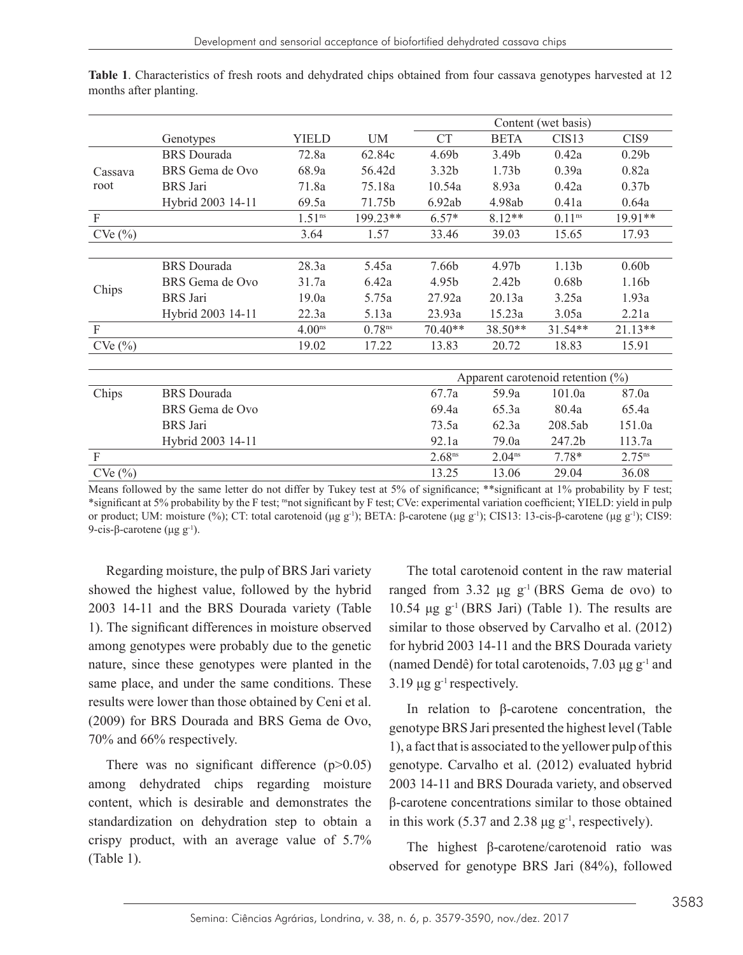|             |                    |                    |                    | Content (wet basis)                   |                   |                   |                   |  |
|-------------|--------------------|--------------------|--------------------|---------------------------------------|-------------------|-------------------|-------------------|--|
|             | Genotypes          | <b>YIELD</b>       | UM                 | <b>CT</b>                             | <b>BETA</b>       | CIS <sub>13</sub> | CIS9              |  |
| Cassava     | <b>BRS</b> Dourada | 72.8a              | 62.84c             | 4.69b                                 | 3.49b             | 0.42a             | 0.29 <sub>b</sub> |  |
|             | BRS Gema de Ovo    | 68.9a              | 56.42d             | 3.32 <sub>b</sub>                     | 1.73 <sub>b</sub> | 0.39a             | 0.82a             |  |
| root        | <b>BRS</b> Jari    | 71.8a              | 75.18a             | 10.54a                                | 8.93a             | 0.42a             | 0.37 <sub>b</sub> |  |
|             | Hybrid 2003 14-11  | 69.5a              | 71.75b             | 6.92ab                                | 4.98ab            | 0.41a             | 0.64a             |  |
| $\mathbf F$ |                    | 1.51 <sup>ns</sup> | 199.23**           | $6.57*$                               | $8.12**$          | $0.11^{ns}$       | 19.91**           |  |
| CVe(%)      |                    | 3.64               | 1.57               | 33.46                                 | 39.03             | 15.65             | 17.93             |  |
|             |                    |                    |                    |                                       |                   |                   |                   |  |
|             | <b>BRS</b> Dourada | 28.3a              | 5.45a              | 7.66b                                 | 4.97b             | 1.13 <sub>b</sub> | 0.60 <sub>b</sub> |  |
|             | BRS Gema de Ovo    | 31.7a              | 6.42a              | 4.95b                                 | 2.42 <sub>b</sub> | 0.68 <sub>b</sub> | 1.16b             |  |
| Chips       | <b>BRS</b> Jari    | 19.0a              | 5.75a              | 27.92a                                | 20.13a            | 3.25a             | 1.93a             |  |
|             | Hybrid 2003 14-11  | 22.3a              | 5.13a              | 23.93a                                | 15.23a            | 3.05a             | 2.21a             |  |
| $\mathbf F$ |                    | 4.00 <sub>ns</sub> | 0.78 <sup>ns</sup> | 70.40**                               | 38.50**           | $31.54**$         | $21.13**$         |  |
| CVe(%)      |                    | 19.02              | 17.22              | 13.83                                 | 20.72             | 18.83             | 15.91             |  |
|             |                    |                    |                    |                                       |                   |                   |                   |  |
|             |                    |                    |                    | Apparent carotenoid retention $(\% )$ |                   |                   |                   |  |
| Chips       | <b>BRS</b> Dourada |                    |                    | 67.7a                                 | 59.9a             | 101.0a            | 87.0a             |  |
|             | BRS Gema de Ovo    |                    |                    | 69.4a                                 | 65.3a             | 80.4a             | 65.4a             |  |
|             | <b>BRS</b> Jari    |                    |                    | 73.5a                                 | 62.3a             | 208.5ab           | 151.0a            |  |
|             | Hybrid 2003 14-11  |                    |                    | 92.1a                                 | 79.0a             | 247.2b            | 113.7a            |  |
| $\mathbf F$ |                    |                    |                    | $2.68^{ns}$                           | $2.04^{ns}$       | $7.78*$           | $2.75^{ns}$       |  |
| CVe(%)      |                    |                    |                    | 13.25                                 | 13.06             | 29.04             | 36.08             |  |

**Table 1**. Characteristics of fresh roots and dehydrated chips obtained from four cassava genotypes harvested at 12 months after planting.

Means followed by the same letter do not differ by Tukey test at 5% of significance; \*\*significant at 1% probability by F test; \*significant at 5% probability by the F test; <sup>ns</sup>not significant by F test; CVe: experimental variation coefficient; YIELD: yield in pulp or product; UM: moisture (%); CT: total carotenoid (μg g<sup>-1</sup>); BETA: β-carotene (μg g<sup>-1</sup>); CIS13: 13-cis-β-carotene (μg g<sup>-1</sup>); CIS9: 9-cis-β-carotene (μg  $g^{-1}$ ).

Regarding moisture, the pulp of BRS Jari variety showed the highest value, followed by the hybrid 2003 14-11 and the BRS Dourada variety (Table 1). The significant differences in moisture observed among genotypes were probably due to the genetic nature, since these genotypes were planted in the same place, and under the same conditions. These results were lower than those obtained by Ceni et al. (2009) for BRS Dourada and BRS Gema de Ovo, 70% and 66% respectively.

There was no significant difference  $(p>0.05)$ among dehydrated chips regarding moisture content, which is desirable and demonstrates the standardization on dehydration step to obtain a crispy product, with an average value of 5.7% (Table 1).

The total carotenoid content in the raw material ranged from 3.32 μg  $g^{-1}$  (BRS Gema de ovo) to  $10.54$  μg g<sup>-1</sup> (BRS Jari) (Table 1). The results are similar to those observed by Carvalho et al. (2012) for hybrid 2003 14-11 and the BRS Dourada variety (named Dendê) for total carotenoids,  $7.03 \mu$ g g<sup>-1</sup> and  $3.19$  μg g<sup>-1</sup> respectively.

In relation to β-carotene concentration, the genotype BRS Jari presented the highest level (Table 1), a fact that is associated to the yellower pulp of this genotype. Carvalho et al. (2012) evaluated hybrid 2003 14-11 and BRS Dourada variety, and observed β-carotene concentrations similar to those obtained in this work (5.37 and 2.38  $\mu$ g g<sup>-1</sup>, respectively).

The highest β-carotene/carotenoid ratio was observed for genotype BRS Jari (84%), followed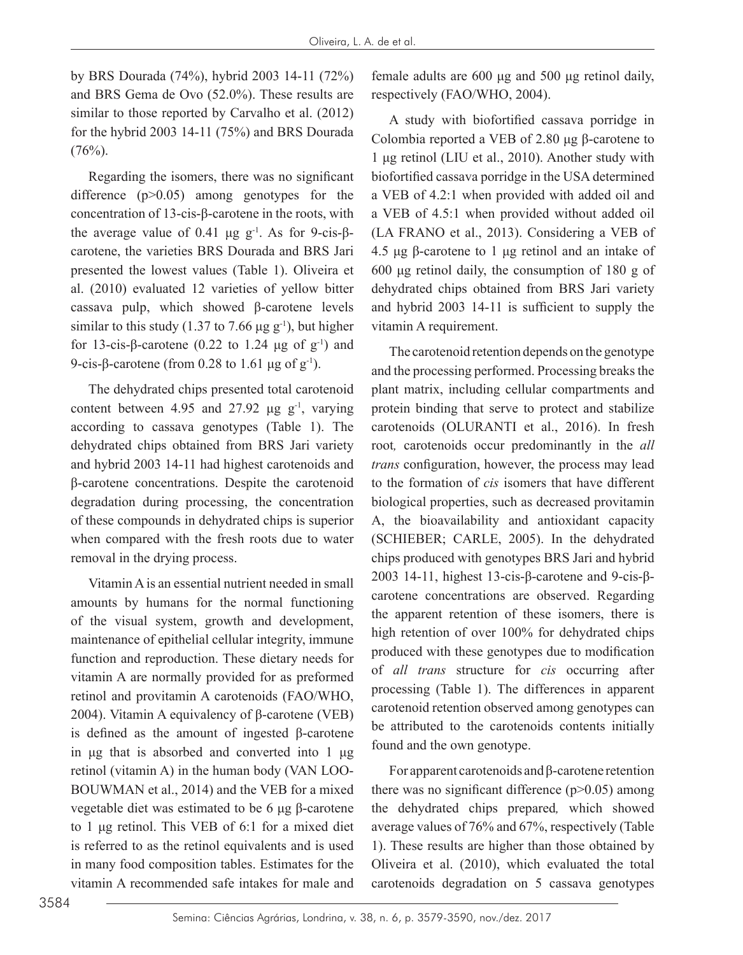by BRS Dourada (74%), hybrid 2003 14-11 (72%) and BRS Gema de Ovo (52.0%). These results are similar to those reported by Carvalho et al. (2012) for the hybrid 2003 14-11 (75%) and BRS Dourada  $(76\%)$ .

Regarding the isomers, there was no significant difference (p>0.05) among genotypes for the concentration of 13-cis-β-carotene in the roots, with the average value of 0.41 μg  $g^{-1}$ . As for 9-cis-βcarotene, the varieties BRS Dourada and BRS Jari presented the lowest values (Table 1). Oliveira et al. (2010) evaluated 12 varieties of yellow bitter cassava pulp, which showed β-carotene levels similar to this study (1.37 to 7.66  $\mu$ g g<sup>-1</sup>), but higher for 13-cis-β-carotene (0.22 to 1.24 μg of  $g^{-1}$ ) and 9-cis-β-carotene (from 0.28 to 1.61 μg of  $g^{-1}$ ).

The dehydrated chips presented total carotenoid content between 4.95 and 27.92  $\mu$ g g<sup>-1</sup>, varying according to cassava genotypes (Table 1). The dehydrated chips obtained from BRS Jari variety and hybrid 2003 14-11 had highest carotenoids and β-carotene concentrations. Despite the carotenoid degradation during processing, the concentration of these compounds in dehydrated chips is superior when compared with the fresh roots due to water removal in the drying process.

Vitamin A is an essential nutrient needed in small amounts by humans for the normal functioning of the visual system, growth and development, maintenance of epithelial cellular integrity, immune function and reproduction. These dietary needs for vitamin A are normally provided for as preformed retinol and provitamin A carotenoids (FAO/WHO, 2004). Vitamin A equivalency of β-carotene (VEB) is defined as the amount of ingested β-carotene in μg that is absorbed and converted into 1 μg retinol (vitamin A) in the human body (VAN LOO-BOUWMAN et al., 2014) and the VEB for a mixed vegetable diet was estimated to be 6 μg β-carotene to 1 μg retinol. This VEB of 6:1 for a mixed diet is referred to as the retinol equivalents and is used in many food composition tables. Estimates for the vitamin A recommended safe intakes for male and female adults are 600 μg and 500 μg retinol daily, respectively (FAO/WHO, 2004).

A study with biofortified cassava porridge in Colombia reported a VEB of 2.80 μg β-carotene to 1 μg retinol (LIU et al., 2010). Another study with biofortified cassava porridge in the USA determined a VEB of 4.2:1 when provided with added oil and a VEB of 4.5:1 when provided without added oil (LA FRANO et al., 2013). Considering a VEB of 4.5 μg β-carotene to 1 μg retinol and an intake of 600 μg retinol daily, the consumption of 180 g of dehydrated chips obtained from BRS Jari variety and hybrid 2003 14-11 is sufficient to supply the vitamin A requirement.

The carotenoid retention depends on the genotype and the processing performed. Processing breaks the plant matrix, including cellular compartments and protein binding that serve to protect and stabilize carotenoids (OLURANTI et al., 2016). In fresh root*,* carotenoids occur predominantly in the *all trans* configuration, however, the process may lead to the formation of *cis* isomers that have different biological properties, such as decreased provitamin A, the bioavailability and antioxidant capacity (SCHIEBER; CARLE, 2005). In the dehydrated chips produced with genotypes BRS Jari and hybrid 2003 14-11, highest 13-cis-β-carotene and 9-cis-βcarotene concentrations are observed. Regarding the apparent retention of these isomers, there is high retention of over 100% for dehydrated chips produced with these genotypes due to modification of *all trans* structure for *cis* occurring after processing (Table 1). The differences in apparent carotenoid retention observed among genotypes can be attributed to the carotenoids contents initially found and the own genotype.

For apparent carotenoids and β-carotene retention there was no significant difference  $(p>0.05)$  among the dehydrated chips prepared*,* which showed average values of 76% and 67%, respectively (Table 1). These results are higher than those obtained by Oliveira et al. (2010), which evaluated the total carotenoids degradation on 5 cassava genotypes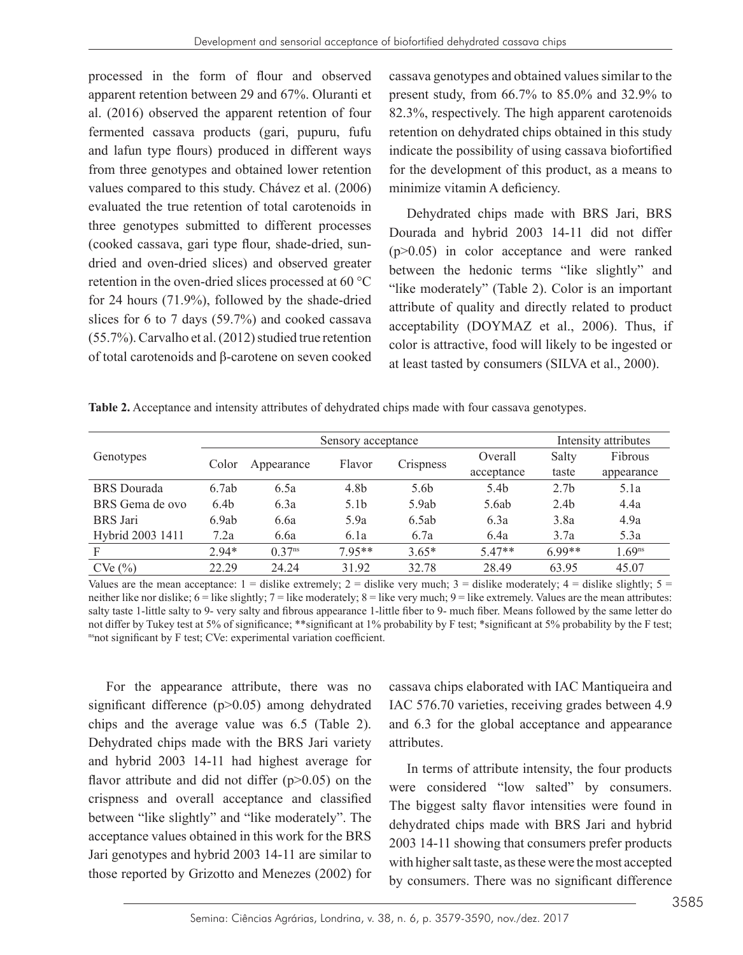processed in the form of flour and observed apparent retention between 29 and 67%. Oluranti et al. (2016) observed the apparent retention of four fermented cassava products (gari, pupuru, fufu and lafun type flours) produced in different ways from three genotypes and obtained lower retention values compared to this study. Chávez et al. (2006) evaluated the true retention of total carotenoids in three genotypes submitted to different processes (cooked cassava, gari type flour, shade-dried, sundried and oven-dried slices) and observed greater retention in the oven-dried slices processed at 60 °C for 24 hours (71.9%), followed by the shade-dried slices for 6 to 7 days (59.7%) and cooked cassava (55.7%). Carvalho et al. (2012) studied true retention of total carotenoids and β-carotene on seven cooked cassava genotypes and obtained values similar to the present study, from 66.7% to 85.0% and 32.9% to 82.3%, respectively. The high apparent carotenoids retention on dehydrated chips obtained in this study indicate the possibility of using cassava biofortified for the development of this product, as a means to minimize vitamin A deficiency.

Dehydrated chips made with BRS Jari, BRS Dourada and hybrid 2003 14-11 did not differ (p>0.05) in color acceptance and were ranked between the hedonic terms "like slightly" and "like moderately" (Table 2). Color is an important attribute of quality and directly related to product acceptability (DOYMAZ et al., 2006). Thus, if color is attractive, food will likely to be ingested or at least tasted by consumers (SILVA et al., 2000).

**Table 2.** Acceptance and intensity attributes of dehydrated chips made with four cassava genotypes.

|                    |                  | Sensory acceptance   |                  |                  |                  |                  | Intensity attributes |  |
|--------------------|------------------|----------------------|------------------|------------------|------------------|------------------|----------------------|--|
| Genotypes          | Color            | Appearance           | Flavor           | <b>Crispness</b> | Overall          | Salty            | Fibrous              |  |
|                    |                  |                      |                  |                  | acceptance       | taste            | appearance           |  |
| <b>BRS</b> Dourada | 6.7ab            | 6.5a                 | 4.8b             | 5.6b             | 5.4 <sub>b</sub> | 2.7 <sub>b</sub> | 5.1a                 |  |
| BRS Gema de ovo    | 6.4 <sub>b</sub> | 6.3a                 | 5.1 <sub>b</sub> | 5.9ab            | 5.6ab            | 2.4 <sub>b</sub> | 4.4a                 |  |
| <b>BRS</b> Jari    | 6.9ab            | 6.6a                 | 5.9a             | 6.5ab            | 6.3a             | 3.8a             | 4.9a                 |  |
| Hybrid 2003 1411   | 7.2a             | 6.6a                 | 6.1a             | 6.7a             | 6.4a             | 3.7a             | 5.3a                 |  |
| F                  | $2.94*$          | $0.37$ <sup>ns</sup> | $795**$          | $3.65*$          | $5.47**$         | $6.99**$         | 1.69 <sup>ns</sup>   |  |
| CVe(%)             | 22.29            | 24.24                | 31.92            | 32.78            | 28.49            | 63.95            | 45.07                |  |

Values are the mean acceptance:  $1 =$  dislike extremely;  $2 =$  dislike very much;  $3 =$  dislike moderately;  $4 =$  dislike slightly;  $5 =$ neither like nor dislike;  $6 =$  like slightly;  $7 =$  like moderately;  $8 =$  like very much;  $9 =$  like extremely. Values are the mean attributes: salty taste 1-little salty to 9- very salty and fibrous appearance 1-little fiber to 9- much fiber. Means followed by the same letter do not differ by Tukey test at 5% of significance; \*\*significant at 1% probability by F test; \*significant at 5% probability by the F test; nsnot significant by F test; CVe: experimental variation coefficient.

For the appearance attribute, there was no significant difference (p>0.05) among dehydrated chips and the average value was 6.5 (Table 2). Dehydrated chips made with the BRS Jari variety and hybrid 2003 14-11 had highest average for flavor attribute and did not differ  $(p>0.05)$  on the crispness and overall acceptance and classified between "like slightly" and "like moderately". The acceptance values obtained in this work for the BRS Jari genotypes and hybrid 2003 14-11 are similar to those reported by Grizotto and Menezes (2002) for cassava chips elaborated with IAC Mantiqueira and IAC 576.70 varieties, receiving grades between 4.9 and 6.3 for the global acceptance and appearance attributes.

In terms of attribute intensity, the four products were considered "low salted" by consumers. The biggest salty flavor intensities were found in dehydrated chips made with BRS Jari and hybrid 2003 14-11 showing that consumers prefer products with higher salt taste, as these were the most accepted by consumers. There was no significant difference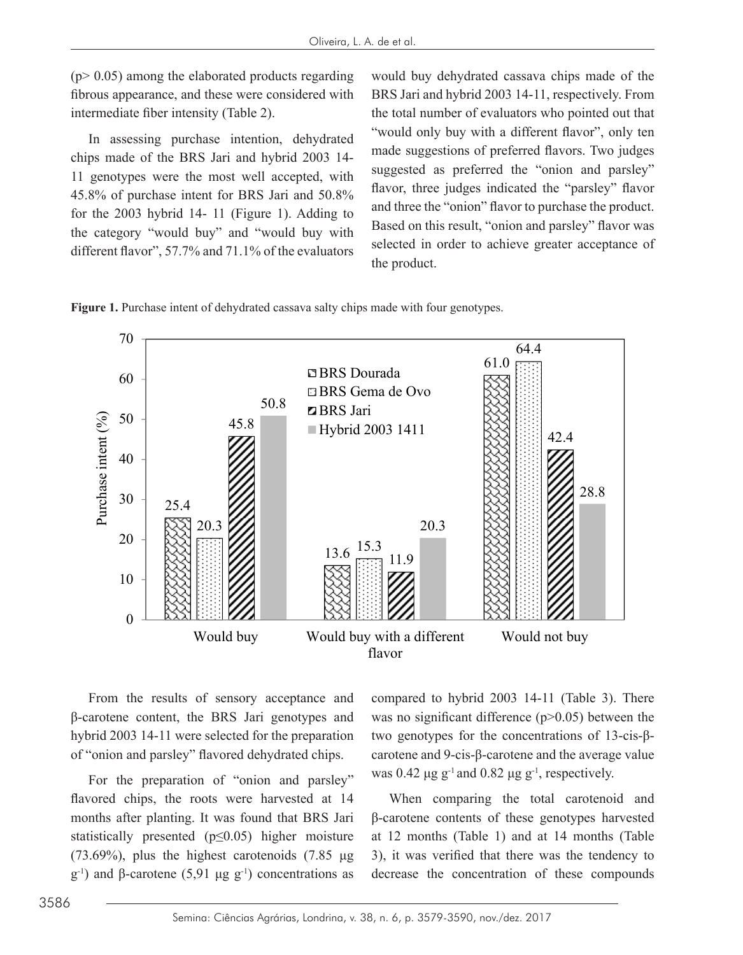$(p>0.05)$  among the elaborated products regarding fibrous appearance, and these were considered with intermediate fiber intensity (Table 2).

In assessing purchase intention, dehydrated chips made of the BRS Jari and hybrid 2003 14- 11 genotypes were the most well accepted, with 45.8% of purchase intent for BRS Jari and 50.8% for the 2003 hybrid 14- 11 (Figure 1). Adding to the category "would buy" and "would buy with different flavor", 57.7% and 71.1% of the evaluators would buy dehydrated cassava chips made of the BRS Jari and hybrid 2003 14-11, respectively. From the total number of evaluators who pointed out that "would only buy with a different flavor", only ten made suggestions of preferred flavors. Two judges suggested as preferred the "onion and parsley" flavor, three judges indicated the "parsley" flavor and three the "onion" flavor to purchase the product. Based on this result, "onion and parsley" flavor was selected in order to achieve greater acceptance of the product.

**Figure 1.** Purchase intent of dehydrated cassava salty chips made with four genotypes.



From the results of sensory acceptance and β-carotene content, the BRS Jari genotypes and hybrid 2003 14-11 were selected for the preparation of "onion and parsley" flavored dehydrated chips.

For the preparation of "onion and parsley" flavored chips, the roots were harvested at 14 months after planting. It was found that BRS Jari statistically presented ( $p \leq 0.05$ ) higher moisture (73.69%), plus the highest carotenoids (7.85  $\mu$ g g<sup>-1</sup>) and β-carotene (5,91 μg g<sup>-1</sup>) concentrations as compared to hybrid 2003 14-11 (Table 3). There was no significant difference (p>0.05) between the two genotypes for the concentrations of 13-cis-βcarotene and 9-cis-β-carotene and the average value was 0.42  $\mu$ g g<sup>-1</sup> and 0.82  $\mu$ g g<sup>-1</sup>, respectively.

When comparing the total carotenoid and β-carotene contents of these genotypes harvested at 12 months (Table 1) and at 14 months (Table 3), it was verified that there was the tendency to decrease the concentration of these compounds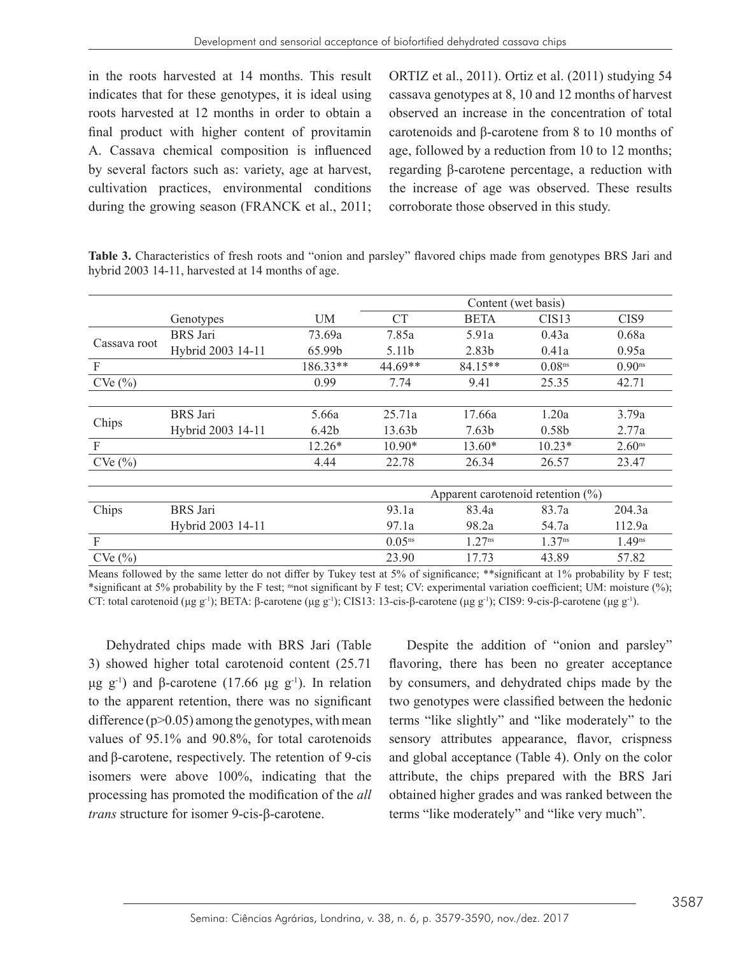in the roots harvested at 14 months. This result indicates that for these genotypes, it is ideal using roots harvested at 12 months in order to obtain a final product with higher content of provitamin A. Cassava chemical composition is influenced by several factors such as: variety, age at harvest, cultivation practices, environmental conditions during the growing season (FRANCK et al., 2011;

ORTIZ et al., 2011). Ortiz et al. (2011) studying 54 cassava genotypes at 8, 10 and 12 months of harvest observed an increase in the concentration of total carotenoids and β-carotene from 8 to 10 months of age, followed by a reduction from 10 to 12 months; regarding β-carotene percentage, a reduction with the increase of age was observed. These results corroborate those observed in this study.

**Table 3.** Characteristics of fresh roots and "onion and parsley" flavored chips made from genotypes BRS Jari and hybrid 2003 14-11, harvested at 14 months of age.

|              |                   |          | Content (wet basis)                   |                    |                    |                      |  |  |
|--------------|-------------------|----------|---------------------------------------|--------------------|--------------------|----------------------|--|--|
|              | Genotypes         | UM       | CT                                    | <b>BETA</b>        | CIS13              | CIS9                 |  |  |
| Cassava root | <b>BRS</b> Jari   | 73.69a   | 7.85a                                 | 5.91a              | 0.43a              | 0.68a                |  |  |
|              | Hybrid 2003 14-11 | 65.99b   | 5.11b                                 | 2.83b              | 0.41a              | 0.95a                |  |  |
| F            |                   | 186.33** | 44.69**                               | 84.15**            | 0.08 <sup>ns</sup> | $0.90$ <sup>ns</sup> |  |  |
| CVe(%)       |                   | 0.99     | 7.74                                  | 9.41               | 25.35              | 42.71                |  |  |
|              |                   |          |                                       |                    |                    |                      |  |  |
|              | BRS Jari          | 5.66a    | 25.71a                                | 17.66a             | 1.20a              | 3.79a                |  |  |
| Chips        | Hybrid 2003 14-11 | 6.42b    | 13.63b                                | 7.63 <sub>b</sub>  | 0.58 <sub>b</sub>  | 2.77a                |  |  |
| F            |                   | $12.26*$ | $10.90*$                              | $13.60*$           | $10.23*$           | 2.60 <sup>ns</sup>   |  |  |
| CVe(%)       |                   | 4.44     | 22.78                                 | 26.34              | 26.57              | 23.47                |  |  |
|              |                   |          |                                       |                    |                    |                      |  |  |
|              |                   |          | Apparent carotenoid retention $(\% )$ |                    |                    |                      |  |  |
| Chips        | BRS Jari          |          | 93.1a                                 | 83.4a              | 83.7a              | 204.3a               |  |  |
|              | Hybrid 2003 14-11 |          | 97.1a                                 | 98.2a              | 54.7a              | 112.9a               |  |  |
| F            |                   |          | $0.05^{ns}$                           | 1.27 <sup>ns</sup> | 1.37 <sup>ns</sup> | 1.49 <sup>ns</sup>   |  |  |
| CVe(%)       |                   |          | 23.90                                 | 17.73              | 43.89              | 57.82                |  |  |

Means followed by the same letter do not differ by Tukey test at 5% of significance; \*\*significant at 1% probability by F test; \*significant at 5% probability by the F test; <sup>ns</sup>not significant by F test; CV: experimental variation coefficient; UM: moisture (%); CT: total carotenoid (μg g<sup>-1</sup>); BETA: β-carotene (μg g<sup>-1</sup>); CIS13: 13-cis-β-carotene (μg g<sup>-1</sup>); CIS9: 9-cis-β-carotene (μg g<sup>-1</sup>).

Dehydrated chips made with BRS Jari (Table 3) showed higher total carotenoid content (25.71 μg g<sup>-1</sup>) and β-carotene (17.66 μg g<sup>-1</sup>). In relation to the apparent retention, there was no significant difference  $(p>0.05)$  among the genotypes, with mean values of 95.1% and 90.8%, for total carotenoids and β-carotene, respectively. The retention of 9-cis isomers were above 100%, indicating that the processing has promoted the modification of the *all trans* structure for isomer 9-cis-β-carotene.

Despite the addition of "onion and parsley" flavoring, there has been no greater acceptance by consumers, and dehydrated chips made by the two genotypes were classified between the hedonic terms "like slightly" and "like moderately" to the sensory attributes appearance, flavor, crispness and global acceptance (Table 4). Only on the color attribute, the chips prepared with the BRS Jari obtained higher grades and was ranked between the terms "like moderately" and "like very much".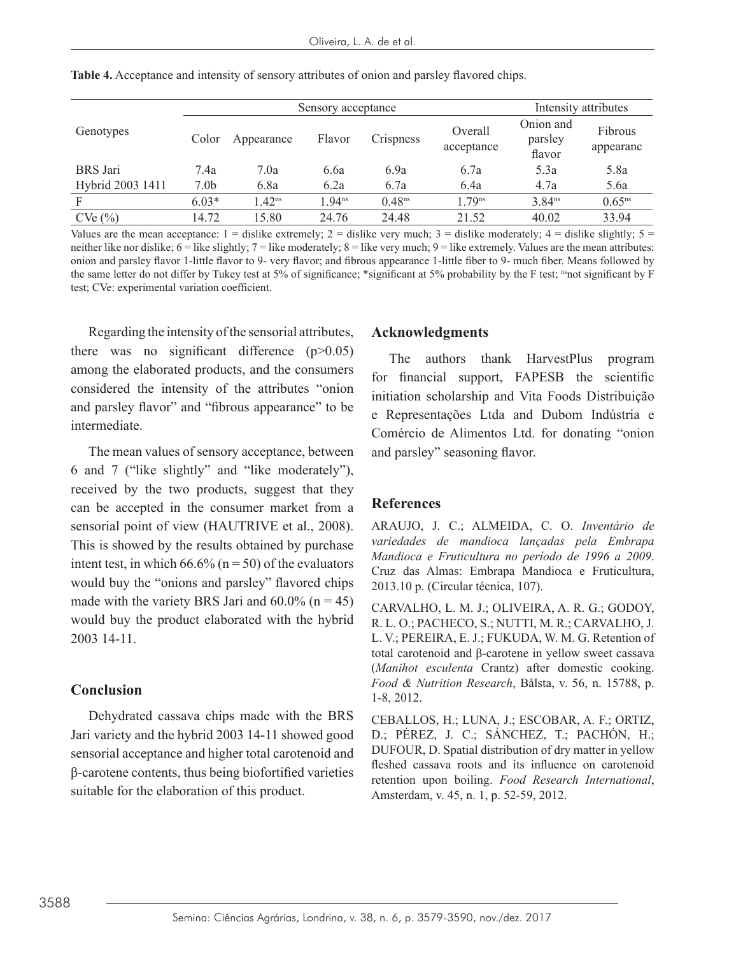|                  |                  | Sensory acceptance |                   |                    |                       |                                | Intensity attributes |  |
|------------------|------------------|--------------------|-------------------|--------------------|-----------------------|--------------------------------|----------------------|--|
| Genotypes        | Color            | Appearance         | Flavor            | Crispness          | Overall<br>acceptance | Onion and<br>parsley<br>flavor | Fibrous<br>appearanc |  |
| <b>BRS</b> Jari  | 7.4a             | 7.0a               | 6.6a              | 6.9a               | 6.7a                  | 5.3a                           | 5.8a                 |  |
| Hybrid 2003 1411 | 7.0 <sub>b</sub> | 6.8a               | 6.2a              | 6.7a               | 6.4a                  | 4.7a                           | 5.6a                 |  |
| F                | $6.03*$          | 1.42 <sup>ns</sup> | .94 <sup>ns</sup> | 0.48 <sup>ns</sup> | $179$ <sup>ns</sup>   | 3.84 <sup>ns</sup>             | $0.65^{ns}$          |  |
| CVe(%)           | 14.72            | 15.80              | 24.76             | 24.48              | 21.52                 | 40.02                          | 33.94                |  |

**Table 4.** Acceptance and intensity of sensory attributes of onion and parsley flavored chips.

Values are the mean acceptance:  $1 =$  dislike extremely;  $2 =$  dislike very much;  $3 =$  dislike moderately;  $4 =$  dislike slightly;  $5 =$ neither like nor dislike;  $6 =$  like slightly;  $7 =$  like moderately;  $8 =$  like very much;  $9 =$  like extremely. Values are the mean attributes: onion and parsley flavor 1-little flavor to 9- very flavor; and fibrous appearance 1-little fiber to 9- much fiber. Means followed by the same letter do not differ by Tukey test at 5% of significance; \*significant at 5% probability by the F test; nsnot significant by F test; CVe: experimental variation coefficient.

Regarding the intensity of the sensorial attributes, there was no significant difference (p>0.05) among the elaborated products, and the consumers considered the intensity of the attributes "onion and parsley flavor" and "fibrous appearance" to be intermediate.

The mean values of sensory acceptance, between 6 and 7 ("like slightly" and "like moderately"), received by the two products, suggest that they can be accepted in the consumer market from a sensorial point of view (HAUTRIVE et al., 2008). This is showed by the results obtained by purchase intent test, in which  $66.6\%$  (n = 50) of the evaluators would buy the "onions and parsley" flavored chips made with the variety BRS Jari and  $60.0\%$  (n = 45) would buy the product elaborated with the hybrid 2003 14-11.

#### **Conclusion**

Dehydrated cassava chips made with the BRS Jari variety and the hybrid 2003 14-11 showed good sensorial acceptance and higher total carotenoid and β-carotene contents, thus being biofortified varieties suitable for the elaboration of this product.

#### **Acknowledgments**

The authors thank HarvestPlus program for financial support, FAPESB the scientific initiation scholarship and Vita Foods Distribuição e Representações Ltda and Dubom Indústria e Comércio de Alimentos Ltd. for donating "onion and parsley" seasoning flavor.

#### **References**

ARAUJO, J. C.; ALMEIDA, C. O. *Inventário de variedades de mandioca lançadas pela Embrapa Mandioca e Fruticultura no período de 1996 a 2009*. Cruz das Almas: Embrapa Mandioca e Fruticultura, 2013.10 p. (Circular técnica, 107).

CARVALHO, L. M. J.; OLIVEIRA, A. R. G.; GODOY, R. L. O.; PACHECO, S.; NUTTI, M. R.; CARVALHO, J. L. V.; PEREIRA, E. J.; FUKUDA, W. M. G. Retention of total carotenoid and β-carotene in yellow sweet cassava (*Manihot esculenta* Crantz) after domestic cooking. *Food & Nutrition Research*, Bålsta, v. 56, n. 15788, p. 1-8, 2012.

CEBALLOS, H.; LUNA, J.; ESCOBAR, A. F.; ORTIZ, D.; PÉREZ, J. C.; SÁNCHEZ, T.; PACHÓN, H.; DUFOUR, D. Spatial distribution of dry matter in yellow fleshed cassava roots and its influence on carotenoid retention upon boiling. *Food Research International*, Amsterdam, v. 45, n. 1, p. 52-59, 2012.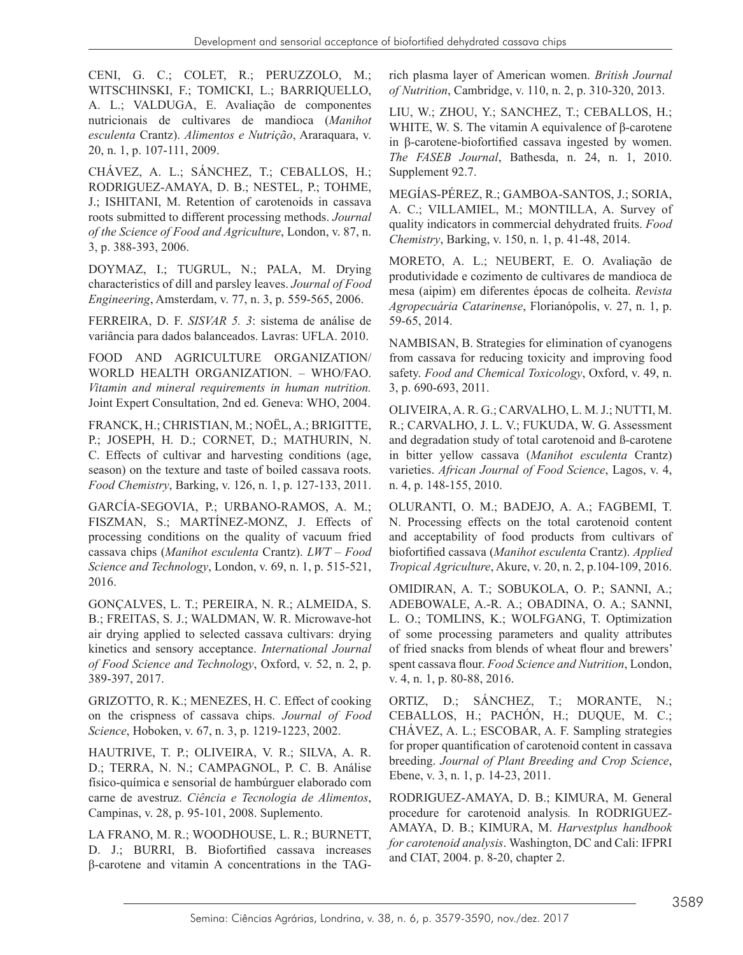CENI, G. C.; COLET, R.; PERUZZOLO, M.; WITSCHINSKI, F.; TOMICKI, L.; BARRIQUELLO, A. L.; VALDUGA, E. Avaliação de componentes nutricionais de cultivares de mandioca (*Manihot esculenta* Crantz). *Alimentos e Nutrição*, Araraquara, v. 20, n. 1, p. 107-111, 2009.

CHÁVEZ, A. L.; SÁNCHEZ, T.; CEBALLOS, H.; RODRIGUEZ-AMAYA, D. B.; NESTEL, P.; TOHME, J.; ISHITANI, M. Retention of carotenoids in cassava roots submitted to different processing methods. *Journal of the Science of Food and Agriculture*, London, v. 87, n. 3, p. 388-393, 2006.

DOYMAZ, I.; TUGRUL, N.; PALA, M. Drying characteristics of dill and parsley leaves. *Journal of Food Engineering*, Amsterdam, v. 77, n. 3, p. 559-565, 2006.

FERREIRA, D. F. *SISVAR 5. 3*: sistema de análise de variância para dados balanceados. Lavras: UFLA. 2010.

FOOD AND AGRICULTURE ORGANIZATION/ WORLD HEALTH ORGANIZATION. – WHO/FAO. *Vitamin and mineral requirements in human nutrition.* Joint Expert Consultation, 2nd ed. Geneva: WHO, 2004.

FRANCK, H.; CHRISTIAN, M.; NOËL, A.; BRIGITTE, P.; JOSEPH, H. D.; CORNET, D.; MATHURIN, N. C. Effects of cultivar and harvesting conditions (age, season) on the texture and taste of boiled cassava roots. *Food Chemistry*, Barking, v. 126, n. 1, p. 127-133, 2011.

GARCÍA-SEGOVIA, P.; URBANO-RAMOS, A. M.; FISZMAN, S.; MARTÍNEZ-MONZ, J. Effects of processing conditions on the quality of vacuum fried cassava chips (*Manihot esculenta* Crantz). *LWT – Food Science and Technology*, London, v. 69, n. 1, p. 515-521, 2016.

GONÇALVES, L. T.; PEREIRA, N. R.; ALMEIDA, S. B.; FREITAS, S. J.; WALDMAN, W. R. Microwave-hot air drying applied to selected cassava cultivars: drying kinetics and sensory acceptance. *International Journal of Food Science and Technology*, Oxford, v. 52, n. 2, p. 389-397, 2017.

GRIZOTTO, R. K.; MENEZES, H. C. Effect of cooking on the crispness of cassava chips. *Journal of Food Science*, Hoboken, v. 67, n. 3, p. 1219-1223, 2002.

HAUTRIVE, T. P.; OLIVEIRA, V. R.; SILVA, A. R. D.; TERRA, N. N.; CAMPAGNOL, P. C. B. Análise físico-química e sensorial de hambúrguer elaborado com carne de avestruz. *Ciência e Tecnologia de Alimentos*, Campinas, v. 28, p. 95-101, 2008. Suplemento.

LA FRANO, M. R.; WOODHOUSE, L. R.; BURNETT, D. J.; BURRI, B. Biofortified cassava increases β-carotene and vitamin A concentrations in the TAG- rich plasma layer of American women. *British Journal of Nutrition*, Cambridge, v. 110, n. 2, p. 310-320, 2013.

LIU, W.; ZHOU, Y.; SANCHEZ, T.; CEBALLOS, H.; WHITE, W. S. The vitamin A equivalence of β-carotene in β-carotene-biofortified cassava ingested by women. *The FASEB Journal*, Bathesda, n. 24, n. 1, 2010. Supplement 92.7.

MEGÍAS-PÉREZ, R.; GAMBOA-SANTOS, J.; SORIA, A. C.; VILLAMIEL, M.; MONTILLA, A. Survey of quality indicators in commercial dehydrated fruits. *Food Chemistry*, Barking, v. 150, n. 1, p. 41-48, 2014.

MORETO, A. L.; NEUBERT, E. O. Avaliação de produtividade e cozimento de cultivares de mandioca de mesa (aipim) em diferentes épocas de colheita. *Revista Agropecuária Catarinense*, Florianópolis, v. 27, n. 1, p. 59-65, 2014.

NAMBISAN, B. Strategies for elimination of cyanogens from cassava for reducing toxicity and improving food safety. *Food and Chemical Toxicology*, Oxford, v. 49, n. 3, p. 690-693, 2011.

OLIVEIRA, A. R. G.; CARVALHO, L. M. J.; NUTTI, M. R.; CARVALHO, J. L. V.; FUKUDA, W. G. Assessment and degradation study of total carotenoid and ß-carotene in bitter yellow cassava (*Manihot esculenta* Crantz) varieties. *African Journal of Food Science*, Lagos, v. 4, n. 4, p. 148-155, 2010.

OLURANTI, O. M.; BADEJO, A. A.; FAGBEMI, T. N. Processing effects on the total carotenoid content and acceptability of food products from cultivars of biofortified cassava (*Manihot esculenta* Crantz). *Applied Tropical Agriculture*, Akure, v. 20, n. 2, p.104-109, 2016.

OMIDIRAN, A. T.; SOBUKOLA, O. P.; SANNI, A.; ADEBOWALE, A.-R. A.; OBADINA, O. A.; SANNI, L. O.; TOMLINS, K.; WOLFGANG, T. Optimization of some processing parameters and quality attributes of fried snacks from blends of wheat flour and brewers' spent cassava flour. *Food Science and Nutrition*, London, v. 4, n. 1, p. 80-88, 2016.

ORTIZ, D.; SÁNCHEZ, T.; MORANTE, N.; CEBALLOS, H.; PACHÓN, H.; DUQUE, M. C.; CHÁVEZ, A. L.; ESCOBAR, A. F. Sampling strategies for proper quantification of carotenoid content in cassava breeding. *Journal of Plant Breeding and Crop Science*, Ebene, v. 3, n. 1, p. 14-23, 2011.

RODRIGUEZ-AMAYA, D. B.; KIMURA, M. General procedure for carotenoid analysis*.* In RODRIGUEZ-AMAYA, D. B.; KIMURA, M. *Harvestplus handbook for carotenoid analysis*. Washington, DC and Cali: IFPRI and CIAT, 2004. p. 8-20, chapter 2.